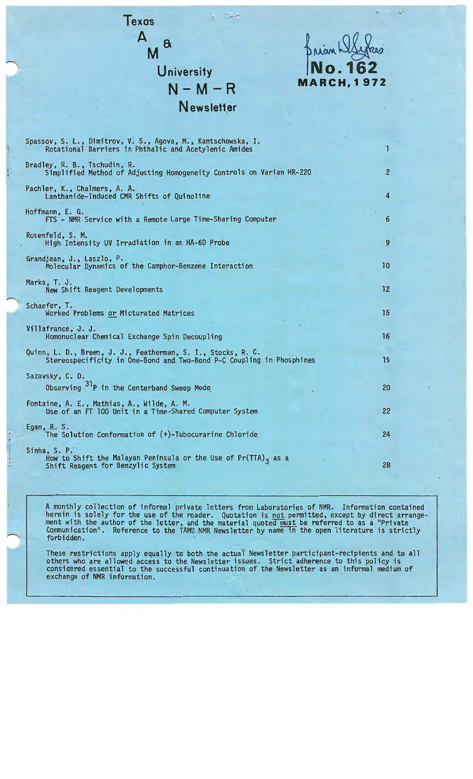| Texas<br>Д<br>$\mathbf{a}$<br>IM<br><b>No.162</b><br>University<br><b>MARCH, 1972</b><br>$N - M - R$<br><b>Newsletter</b>             |                |
|---------------------------------------------------------------------------------------------------------------------------------------|----------------|
| Spassov, S. L., Dimitrov, V. S., Agova, M., Kantschowska, I.<br>Rotational Barriers in Phthalic and Acetylenic Amides                 |                |
| Bradley, R. B., Tschudin, R.<br>Simplified Method of Adjusting Homogeneity Controls on Varian HR-220                                  | $\overline{2}$ |
| Pachler, K., Chalmers, A. A.<br>Lanthanide-Induced CMR Shifts of Quinoline                                                            | 4              |
| Hoffmann, E. G.<br>FTS - NMR Service with a Remote Large Time-Sharing Computer                                                        | 6              |
| Rosenfeld, S. M.<br>High Intensity UV Irradiation in an HA-60 Probe                                                                   | 9              |
| Grandjean, J., Laszlo, P.<br>Molecular Dynamics of the Camphor-Benzene Interaction                                                    | 10             |
| Marks, T. J.<br>New Shift Reagent Developments                                                                                        | 12             |
| Schaefer, T.<br>Worked Problems or Micturated Matrices                                                                                | 15             |
| Villafrance, J. J.<br>Homonuclear Chemical Exchange Spin Decoupling                                                                   | 16             |
| Quinn, L. D., Breen, J. J., Featherman, S. I., Stocks, R. C.<br>Stereospecificity in One-Bond and Two-Bond P-C Coupling in Phosphines | 19             |
| Sazavsky, C. D.<br>Observing <sup>31</sup> P in the Centerband Sweep Mode                                                             | 20             |
| Fontaine, A. E., Mathias, A., Wilde, A. M.<br>Use of an FT 100 Unit in a Time-Shared Computer System                                  | 22             |
| Egan, R. S.<br>The Solution Conformation of (+)-Tubocurarine Chloride                                                                 | 24             |
| Sinha, S. P.<br>How to Shift the Malayan Peninsula or the Use of $Pr(TTA)_{\alpha}$ as a<br>Shift Reagent for Benzylic System         | 28             |

A monthly collection of informal private letters from Laboratories of NMR. Information contained herein is solely for the use of the reader. Quotation is not permitted, except by direct arrangement with the author of the letter, and the material quoted must be referred to as a "Private Communication". Reference to the TAMU NMR Newsletter by name in the open literature is strictly forbidden.

These restrictions apply equally to both the actual Newsletter participant-recipients and to all others who are allowed access to the Newsletter issues. Strict adherence to this policy is considered essential to the successful continuation of the Newsletter as an informal medium of exchange of NMR information.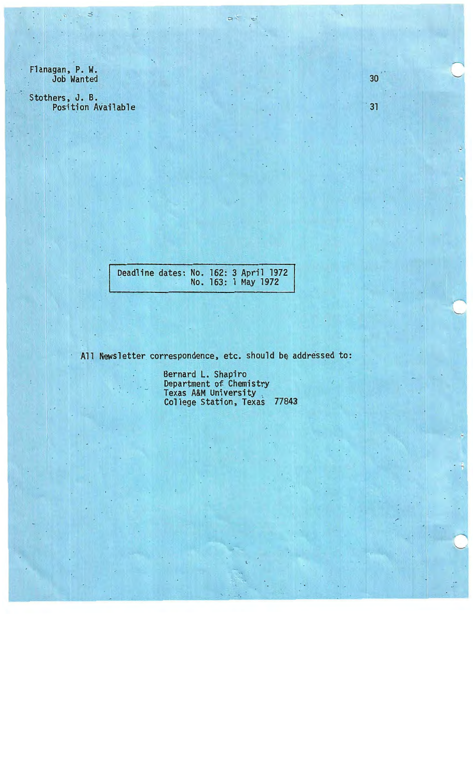Flanagan, P. W. Job Wanted 30

Stothers, J. B. Position Available 31 and 32 and 32 and 32 and 32 and 32 and 32 and 33 and 33 and 33 and 33 and 33 and 33 and 33 and 33 and 33 and 33 and 33 and 33 and 33 and 33 and 33 and 33 and 33 and 33 and 33 and 33 and 33 and 33 and

> Deadline dates: No. 162: 3 April 1972 No. 163.: l May 1972

All Newsletter correspondence, etc. should be addressed to:

Bernard L. Shapiro Department of Chemistry<br>Texas A&M University College Station, Texas 77843

 $a \leq$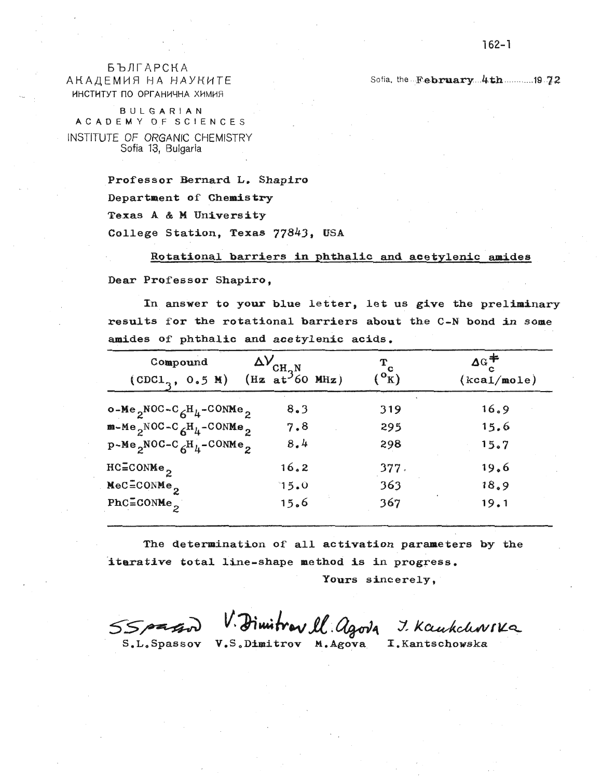Sofia, the February 4th ............ 19.72

**БЪЛГАРСКА** АКАДЕМИЯ НА НАУКИТЕ ИНСТИТУТ ПО ОРГАНИЧНА ХИМИЯ

**BULGARIAN** ACADEMY OF SCIENCES INSTITUTE OF ORGANIC CHEMISTRY Sofia 13, Bulgarla

> Professor Bernard L. Shapiro Department of Chemistry Texas A & M University College Station, Texas 77843, USA

Rotational barriers in phthalic and acetylenic amides Dear Professor Shapiro,

In answer to your blue letter, let us give the preliminary results for the rotational barriers about the C-N bond in some amides of phthalic and acetylenic acids.

| Compound                                                                   | $\Delta {\cal V}_{{\rm CH}_{\cdot3} {\rm N}}$<br>(Hz at <sup>3</sup> 60 MHz) | $T_c$<br>$({}^{\circ}_{K})$ | $\Delta G$ <sup><math>\top</math></sup> |
|----------------------------------------------------------------------------|------------------------------------------------------------------------------|-----------------------------|-----------------------------------------|
| $(CDC1_{2}, 0.5 M)$                                                        |                                                                              |                             | (kca1/mole)                             |
| $o$ -Me <sub>2</sub> NOC-C <sub>6</sub> H <sub>4</sub> -CONMe <sub>2</sub> | 8.3                                                                          | 319                         | 16.9                                    |
| $m-Me_2NOC-C_6H_4-CONMe_2$                                                 | 7.8                                                                          | 295                         | 15.6                                    |
| $p-Me_pNOC-C_qH_A-CONMe_q$                                                 | 8,4                                                                          | 298                         | 15.7                                    |
| $HC = COMMe2$                                                              | 16.2                                                                         | 377.                        | 19.6                                    |
| $MeC = COMMe2$                                                             | 15.0                                                                         | 363                         | 18.9                                    |
| $\texttt{Phc} \texttt{\Xi} \texttt{CONMe}_2$                               | 15.6                                                                         | 367                         | 19.1                                    |

The determination of all activation parameters by the itarative total line-shape method is in progress.

Yours sincerely,

V. Dimitrov Il agova J. Kaukchwika S.L.Spassov V.S.Dimitrov M.Agova I.Kantschowska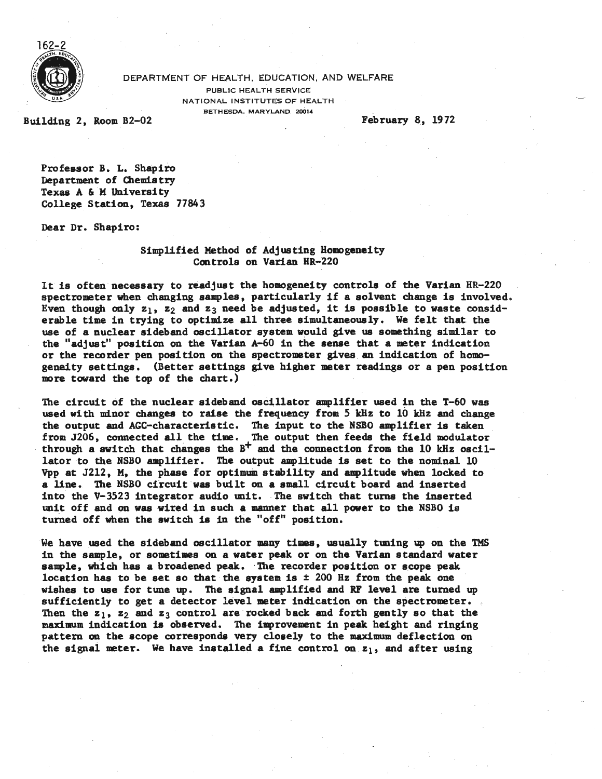

DEPARTMENT OF HEALTH, EDUCATION, AND WELFARE

PUBLIC HEALTH SERVICE NATIONAL INSTITUTES OF HEALTH BETHESDA, MARYLAND 20014

Building 2. **Room** B2-02 **February** 8. 1972

Professor B. L. Shapiro Department of Chemie try Texas A & M University College Station, Texas 77843

Dear Dr. Shapiro:

#### Simplified Method of Adjusting Homogeneity Controls on Varian HR-220

It is often necessary to readjust the homogeneity controls of the Varian HR-220 spectrometer when changing samples, particularly. if a solvent change is involved. Even though only  $z_1$ ,  $z_2$  and  $z_3$  need be adjusted, it is possible to waste considerable time in trying to optimize all three simultaneously. We felt that the use of a nuclear sideband oscillator system would give us something similar to the "adjust" position on the Varian A-60 in the sense that a meter indication or the recorder pen position on the spectrometer gives an indication of homogeneity settings. (Better settings give higher meter readings or a pen position more toward the top of the chart.)

The circuit of the nuclear sideband oscillator amplifier used in the T-60 was used with minor changes to raise the frequency from 5 kHz to 10 kHz and change the output and AGC-characteristic. The input to the NSBO amplifier is taken from J206, connected all the time. The output then feeds the field modulator through a switch that changes the  $B^+$  and the connection from the 10 kHz oscillator to the NSBO amplifier. The output amplitude is set to the nominal 10 Vpp at J212. M, the phase for optimum stability and amplitude when locked to a line. The NSBO circuit was built on a small circuit board and inserted into the  $V-3523$  integrator audio unit. The switch that turns the inserted unit off and on was wired in such a manner that all power to the NSBO is turned off when the switch is in the "off" position.

We have used the sideband oscillator many times, usually tuning up on the TMS in the sample, or sometimes on a water peak or on the Varian standard water sample, which has a broadened peak. The recorder position or scope peak location has to be set so that the system is  $\pm$  200 Hz from the peak one wishes to use for tune up. The signal amplified and RF level are turned up sufficiently to get a detector level meter indication on the spectrometer. Then the  $z_1$ ,  $z_2$  and  $z_3$  control are rocked back and forth gently so that the maximum indication is observed. The improvement in peak height and ringing pattern on the scope corresponds very closely to the maximum deflection on the signal meter. We have installed a fine control on  $z_1$ , and after using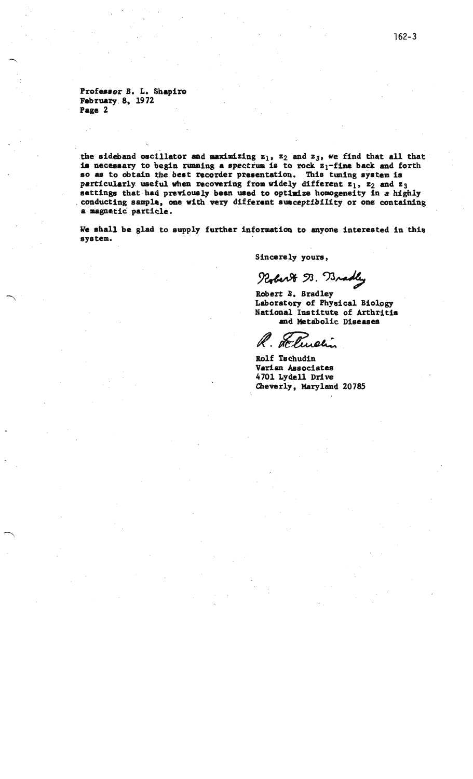Professor B. L. Shapiro February . 8, 19 72 Page 2

the sideband oscillator and maximizing  $z_1$ ,  $z_2$  and  $z_3$ , we find that all that is necessary to begin running a spectrum is to rock  $z_1$ -fine back and forth so as to obtain the best recorder presentation. This tuning system is particularly useful when recovering from widely different  $z_1$ ,  $z_2$  and  $z_3$ settings that had previously been used to optimize homogeneity in a highly . conducting sample, one with very different sueceptibility or one containing a magnetic particle.

We shall be glad to supply further information to anyone interested in this system.

Sincerely yours,

~.?.J. ?.3➔ Robert ij. Bradley

Laboratory of Physical Biology National Institute of Arthritis and Metabolic Diseases

R. Lelensin

Rolf Tschudin Varian Associates 4701 Lydell Drive Cheverly, Maryland 20785

162-3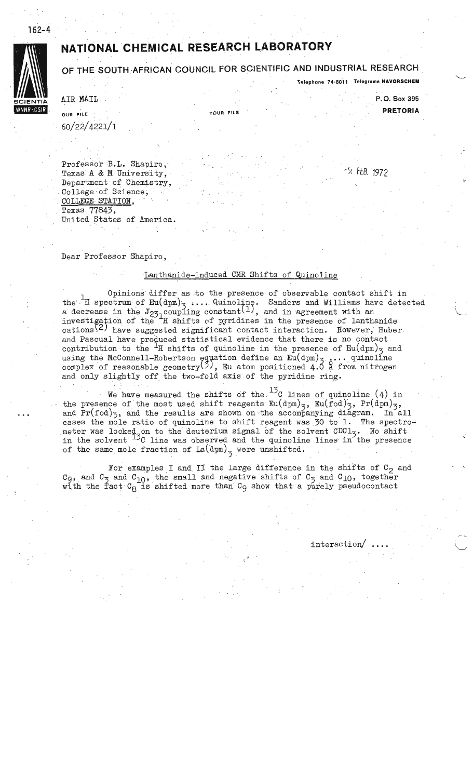**162-4** 



# ·. **NATIONAL CHEMICAL RESEARCH LABORATORY**

OF THE SOUTH AFRICAN COUNCIL FOR SCIENTIFIC AND INDUSTRIAL RESEARCH

YOUR FILE

**Telephone 74·6.011 Telegrams NAVORSCHEM** 

**AIR MAIL** 

OUR FILE

**P.O. Box 395 PRETORIA** 

*-'J.* f tB. · 1972

60/22/4221/1

Professor B.L. Shapiro, Texas A & M University, Department of Chemistry, . College. of Science; COLLEGE STATION, Texas 77843, United States of America.

Dear Professor Shapiro,

#### :Lanthanide-induced CMR Shifts of Quinoline

Opinions differ as to the presence of observable contact shift in the  $\frac{1}{\pi}$  spectrum of Eu(dpm)<sub>3</sub> .... Quinoline. Sanders and Williams have detected a decrease in the  $J_{23}$  coupling constant<sup>(1)</sup>, and in agreement with an .  $\Box$ investigation of the <sup>H</sup> shifts of pyridines in the presence of lanthanide cations<sup>(2)</sup> have suggested significant contact interaction. However, Huber and Pascual have produced statistical evidence that there is no contact contribution to the <sup>1</sup>H shifts of quinoline in the presence of  $Eu(dpm)_{z}$  and using the McConnell-Robertson equation define an Eu(dpm)<sub>7</sub> .... quinoline complex of reasonable geometry<sup>(3)</sup>, Eu atom positioned 4.0  $\frac{\alpha}{4}$  from nitrogen and only slightly off the two-fold axis of the pyridine ring.

We have measured the shifts of the  $^{13}$ C lines of quinoline (4) in the presence of the most used shift reagents  $Eu(dpm)_7$ ,  $Eu(fod)_7$ ,  $Pr(dpm)_7$ , and  $Pr(fod)_{7}$ , and the results are shown on the accompanying diagram. In all cases the mole ratio of quinoline to shift reagent was 30 to 1. The spectrometer was locked on to the deuterium signal of the solvent CDC1 $_7$ . No shift in the solvent  $^{12}$ C line was observed and the quinoline lines in the presence of the same mole fraction of  $La(dpm)_{\alpha}$  were unshifted.

For examples I and II the large difference in the shifts of  $C_2$  and C<sub>9</sub>, and C<sub>3</sub> and C<sub>10</sub>, the small and negative shifts of C<sub>3</sub> and C<sub>10</sub>, together with the fact  $C_R$  is shifted more than  $C_Q$  show that a purely pseudocontact

interaction/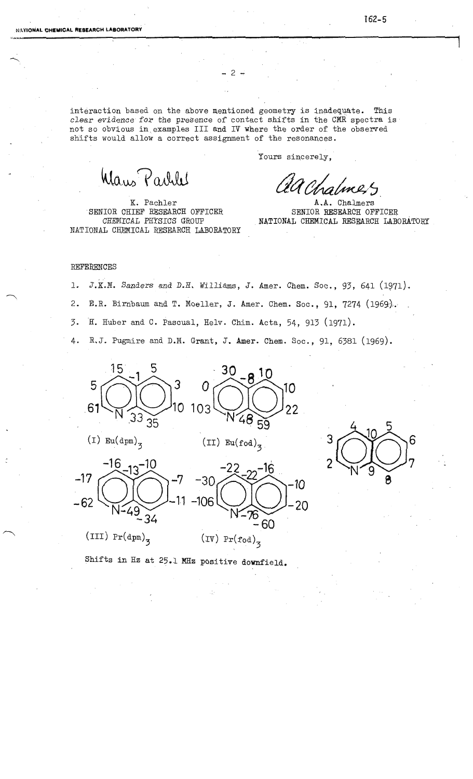interaction based on the above mentioned geometry is inadequate. This clear evidence for the presence of contact shifts in the CMR spectra is not so obvious in examples III and IV where the order of the observed shifts would allow a correct assignment of the resonances.

2

Yours sincerely,

Ways Parke

K. Pachler SENIOR CHIEF RESEARCH OFFICER CHEMICAL PHYSICS GROUP NATIONAL CHEMICAL RESEARCH LABORATORY

3

6

A.A. Chalmers SENIOR RESEARCH OFFICER NATIONAL CHEMICAL RESEARCH LABORATORY

REFERENCES

l. J.K.M. Sanders and D.H. Williams, J. Amer. Chem. Soc., 93, 641 (1971).

 $2.$ E.R. Birnbaum and T. Moeller, J. Amer. Chem. Soc., 91, 7274 (1969).

3. H. Huber and C. Pascual, Helv. Chim. Acta, 54, 913 (1971).

4. R.J. Pugmire and D.M. Grant, J. Amer. Chem. Soc., 91, 6381 (1969).



Shifts in Hz at 25.1 MHz positive downfield.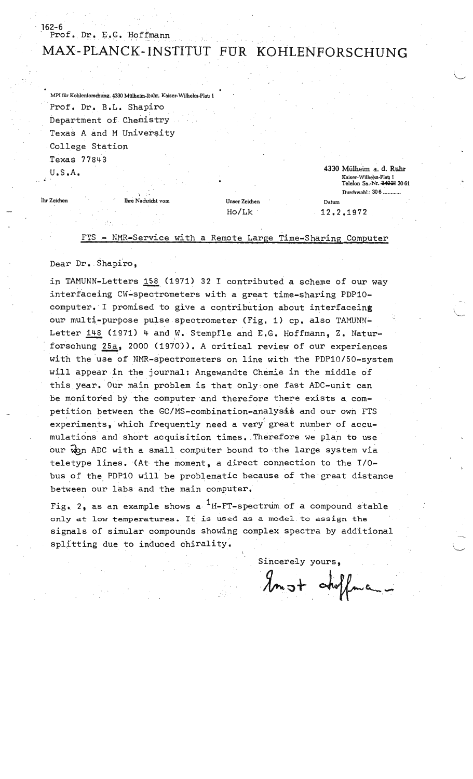# MAX-PLANCK-INSTITUT FUR KOHLENFORSCHUNG

MPI für Kohlenforschung, 4330 Mülheim-Ruhr, Kaiser-Wilhelm-Plat 1 Prof. Dr. B.L. Shapiro Department of Chemistry Texas A and M University College Station Texas 77843  $II.S.A.$ 

Ihre Nachricht vom

Prof. Dr. E.G. Hoffmann

4330 Mülheim a. d. Ruhr Kaiser-Wilhelm-Plat 1 Telefon Sa.-Nr. 24021 30 61 Durchwahl: 306... Datum

Ihr Zeichen

 $162 - 6$ 

Unser Zeichen Ho/Lk

12.2.1972

#### FTS - NMR-Service with a Remote Large Time-Sharing Computer

Dear Dr. Shapiro,

in TAMUNN-Letters 158 (1971) 32 I contributed a scheme of our way interfaceing CW-spectrometers with a great time-sharing PDP10computer. I promised to give a contribution about interfaceing our multi-purpose pulse spectrometer (Fig. 1) cp. also TAMUNN-Letter 148 (1971) 4 and W. Stempfle and E.G. Hoffmann, Z. Naturforschung 25a, 2000 (1970)). A critical review of our experiences with the use of NMR-spectrometers on line with the PDP10/50-system will appear in the journal: Angewandte Chemie in the middle of this year. Our main problem is that only one fast ADC-unit can be monitored by the computer and therefore there exists a competition between the GC/MS-combination-analysis and our own FTS experiments, which frequently need a very great number of accumulations and short acquisition times. Therefore we plan to use our won ADC with a small computer bound to the large system via teletype lines. (At the moment, a direct connection to the I/0bus of the PDP10 will be problematic because of the great distance between our labs and the main computer.

Fig. 2, as an example shows a  ${}^{1}$ H-FT-spectrum of a compound stable only at low temperatures. It is used as a model to assign the signals of simular compounds showing complex spectra by additional splitting due to induced chirality.

Sincerely yours,

Amot droffwar-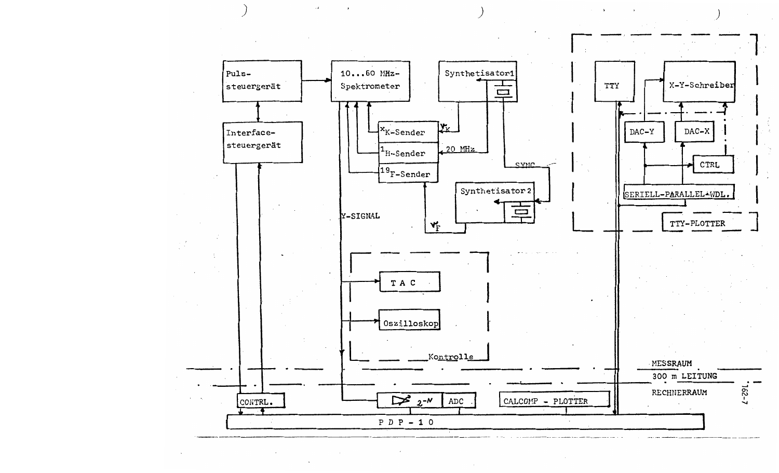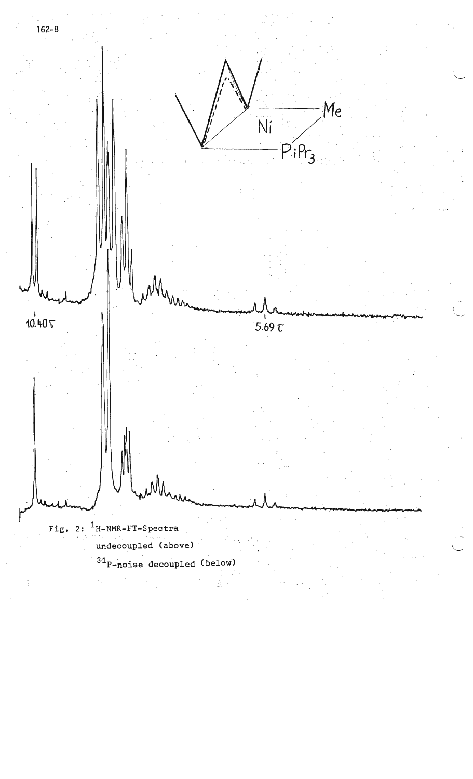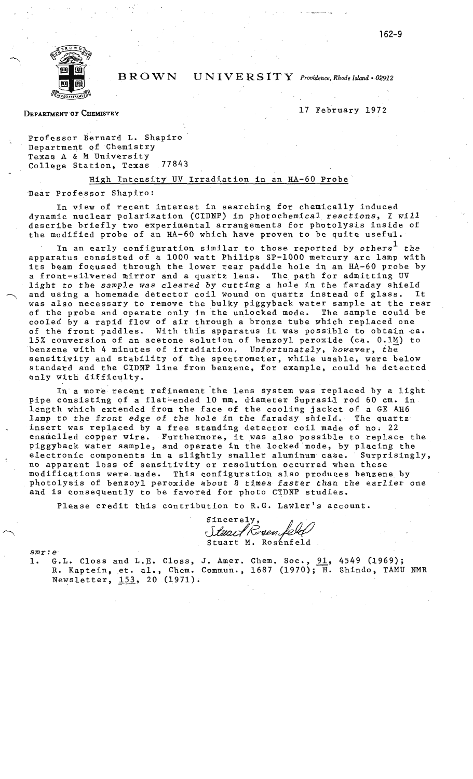DEPARTMENT OF CHEMISTRY

smr:e

BROWN U N I V E **R S** I **T Y** *Providence, Rhode Island* • *<sup>02912</sup>*

#### 17 February 1972

Professor Bernard L. Shapiro Depgrtment of Chemistry Texas A & M University College Station, Texas 77843

#### High Intensity UV Irradiation in an HA-60 Probe

Dear Professor Shapiro:

In view of recent interest in searching for chemically induced dynamic nuclear polarization (CIDNP) in photochemical reactions, I will describe briefly two experimental arrangements for photolysis inside of<br>the modified probe of an HA-60 which have proven to be quite useful.

In an early configuration similar to those reported by others  $^{\mathsf{L}}$  the apparatus consisted of a 1000 watt Philips SP-1000 mercury arc lamp with its beam focused through the lower rear paddle hole in an HA-60 probe by a front-silvered mirror and a quartz lens. The path for admitting UV light to the sample was cleared by cutting a hole in the faraday shield and using a homemade detector coil wound on quartz instead of glass. It was also necessary to remove the bulky piggyback water sample at the rear of the probe and operate only in the unlocked mode. The sample could be cooled by a rapid flow of air through a bronze tube which replaced one of the front paddles. With this apparatus it was possible to obtain ca. 15% conversion of an acetone solution of benzoyl peroxide (ca. O.lM) to benzene with 4 minutes of irradiation. Unfortunately, however, the sensitivity and stability of the specirometer, while usable, were below standard and the CIDNP line from benzene, for example, could be detected only with difficulty.

In a more recent refinement the lens system was replaced by a light pipe consisting of a flat-ended 10 mm. diameter Suprasil rod 60 cm. in length which extended from the face of the cooling jacket of a GE AH6 lamp to the front edge of the hole in the faraday shield. The quartz insert was replaced by a free standing detector coil made of no. 22 enamelled copper wire. Furthermore, it was also possible to replace the piggyback water sample, and operate in the locked mode, by placing the electronic components in a slightly smaller aluminum case. Surprisingly, no apparent loss of sensitivity or resolution occurred when these modifications were made. This configuration also produces benzene\_ by photolysis of benzoyl peroxide about 8 times faster than the earlier one and is consequently to be favored for photo CIDNP studies.

Please credit this contribution to R.G. Lawler's account .

sincerely,<br>S*tuact Resen feld* 

Stuart M. Rosenfeld

1. G.L. Closs and L.E. Closs, J. Amer. Chem. Soc., 91, 4549 (1969); R. Kaptein, et. al., Chem. Commun., 1687 (1970); H. Shindo, TAMU NMR Newsletter, 153, 20 (1971).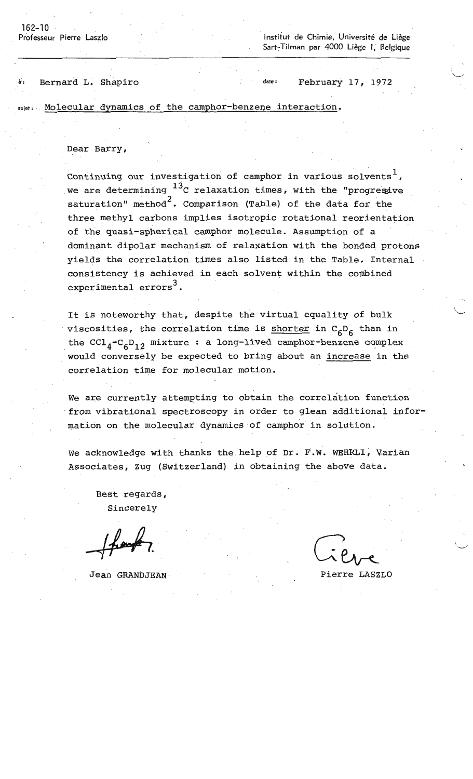162-10

Professeur Pierre Laszlo lnstitut de Chimie, Universite de Liege Sart~Tilman par 4000 Liege I, Belgique

Bernard L. Shapiro . **date:** February 17, 1972

sujet, . Molecular dynamics of the camphor-benzene interaction.

Dear Barry,

Continuing our investigation of camphor in various solvents<sup>1</sup>, we are determining  $^{13}$ C relaxation times, with the "progresive saturation" method<sup>2</sup>. Comparison (Table) of the data for the three methyl carbons implies isotropic rotational reorientation of the quasi-spherical camphor molecule. Assumption of a dominant dipolar mechanism of relaxation with the bonded protons yields the correlation times also listed in the Table. Internal consistency is achieved in each solvent within the combined experimental errors<sup>3</sup>.

It is noteworthy that, despite the virtual equality of bulk viscosities, the correlation time is shorter in  $C_6D_6$  than in the  $\texttt{CC1}_4-\texttt{C}_6\texttt{D}_{12}$  mixture: a long-lived camphor-benzene complex would conversely be expected to bring about an increase in the correlation time for molecular motion.

We are currently attempting to obtain the correlation function from vibrational spectroscopy in order to glean additional information on the molecular dynamics of camphor in solution.

We acknowledge with thanks the help of Dr. F.W. WEHRLI, Varian Associates, zug {Switzerland) in obtaining the above data.

Best regards, Sincerely

Jean GRANDJEAN · Pierre LASZLO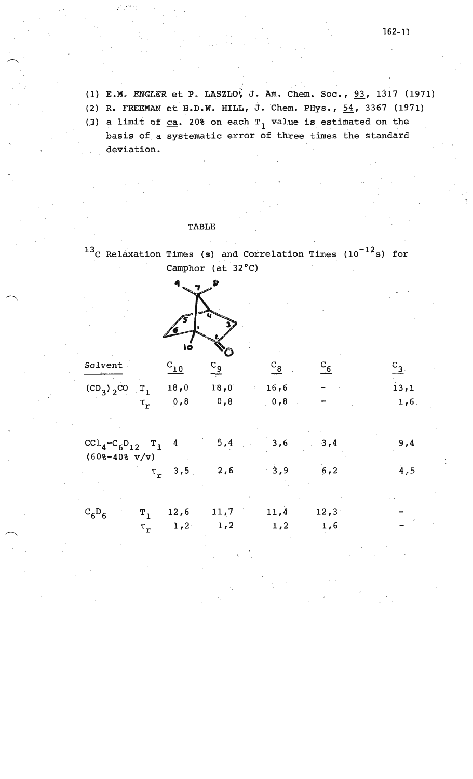- (1) E.M. ENGLER et P. LASZLO, J. Am. Chem. Soc., 93, 1317 (1971)
- (2) R. FREEMAN et H.D.W. HILL, J. Chem. PHys., 54, 3367 (1971)
- (3) a limit of  $ca. 20%$  on each  $T_1$  value is estimated on the basis of a systematic error of three times the standard deviation.

# TABLE

 $^{13}$ C Relaxation Times (s) and Correlation Times (10<sup>-12</sup>s) for Camphor (at  $32^{\circ}$ C)



 $T_1$  12,6 11,7

 $1,2$ 

 $1, 2$ 

 $\tau$ <sub>r</sub>

 $C_6D_6$ 

| Solvent                        | $\rm{c_{10}}$      |      | $^{\circ}$ 8 | $\rm{^{C}$ 6 |      |
|--------------------------------|--------------------|------|--------------|--------------|------|
| $(CD_3)$ <sub>2</sub> CO $T_1$ | 18,0               | 18,0 | $\cdot$ 16,6 |              | 13,1 |
| $T_{\star}$                    | $\overline{0}$ , 8 | 0, 8 | 0, 8         |              | 1,6  |
|                                |                    |      |              |              |      |

| ${ccl}_4 - c_6 D_{12}$ $T_1$ 4               |                | 5,4 | 3,6 | 3,4  | 9,4 |
|----------------------------------------------|----------------|-----|-----|------|-----|
| $(60\text{8}-40\text{8} \text{ v}/\text{v})$ |                |     |     |      |     |
|                                              | $\tau_{r}$ 3,5 | 2,6 | 3,9 | 6, 2 | 4,5 |
|                                              |                |     |     |      |     |

 $11,4$ 

 $1,2$ 

 $12,3$ 

 $1,6$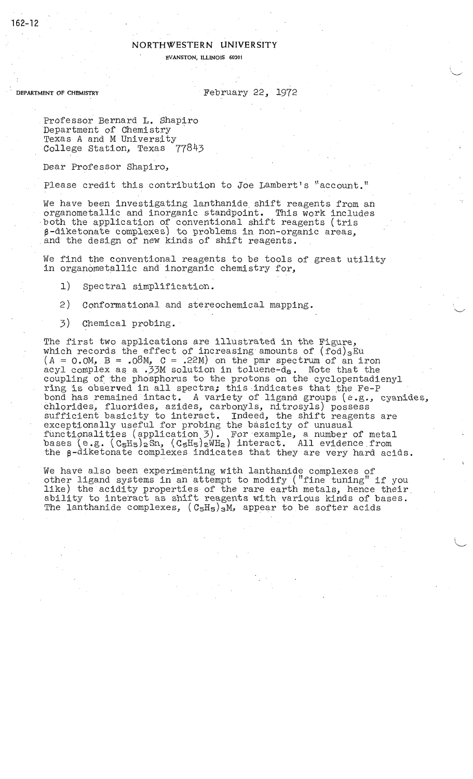# **NORTHWESTERN UNIVERSITY**

#### **·· EVANSTON, ILLINOIS 60201**

**162-12** 

DEPARTMENT OF CHEMISTRY **FEDTUARY 22, 1972** 

i.  $\sim$ 

> i  $\sim$

Professor Bernard L. Shapiro<br>Department of Chemistry Texas A and M University College Station, Texas 77843

Dear Professor Shapiro,

Please credit this contribution to Joe Lambert's "account."

We have been investigating lanthanide shift reagents from an organometallic and inorganic standpoint. This work includes<br>both the application of conventional shift reagents ( tris  $\beta$ -diketonate complexes) to problems in non-organic areas, and the design of new kinds of shift reagents.

We find the conventional reagents to be tools of great utility in organometallic and inorganic chemistry for,

1) Spectral simplification.

2) Conformational and stereochemical mapping.

3) Chemical probing.

The first two applications are illustrated in the Figure, which records the effect of increasing amounts of  $(f \circ d)_3$  Eu  $(A = 0.0M, B = .08M, C = .22M)$  on the pmr spectrum of an iron acyl complex as a .33M solution in toluene- $\bar{d}_8$ . Note that the coupling of the phosphorus to the protons on the cyclopentadienyl ring is observed in all spectra; this indicates that the Fe-P bond has remained intact. *A* variety of ligand groups (e.g., cyanides, chlorides, fluorides, azides, carbonyls, nitrosyls) possess sufficient basicity to interact. Indeed, the shift reagents are exceptionally useful for probing the basicity of unusual functionalities (application  $3)$ . For example, a number of metal bases (e.g.  $(c_5 H_5)_2$ Sn,  $(c_5 H_5)_2$ WH<sub>2</sub>) interact. All evidence from the  $\beta$ -diketonate complexes indicates that they are very hard acids.

We have also been experimenting with lanthanide complexes of other ligand systems in an attempt to modify ("fine tuning" if you<br>like) the acidity properties of the rare earth metals, hence their ability to interact as shift reagents with various kinds of bases. The lanthanide complexes,  $(C_5H_5)_3M$ , appear to be softer acids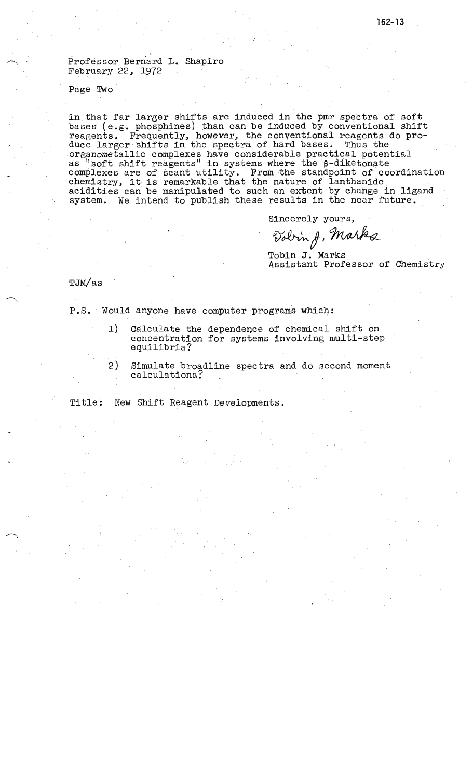Professor Bernard L. Shapiro February 22, 1972

Page Two

in that far larger shifts are induced in the pmr spectra of soft bases (e.g. phosphines) than can be induced by conventional shift reagents. Frequently, however, the conventional reagents do produce larger shifts in the spectra of hard bases. Thus the organometallic complexes have considerable practical potential as "soft shift reagents" in systems where the  $\beta$ -diketonate complexes are of scant utility. From the standpoint of coordination chemistry, it is remarkable that the nature of lanthanide acidities can be manipulated to such an extent by change in ligand system. We intend to publish these results in the near future.

Sincerely yours,

Tolin J. Marks

Tobin J. Marks Assistant Professor of Chemistry

TJM/as

P.S. Would anyone have computer programs which:

- 1) Calculate the dependence of chemical shift on concentration for systems involving multi-step equilibria?
- 2) Simulate broadline spectra and do second moment calcuiations?

Title: New Shift Reagent Developments.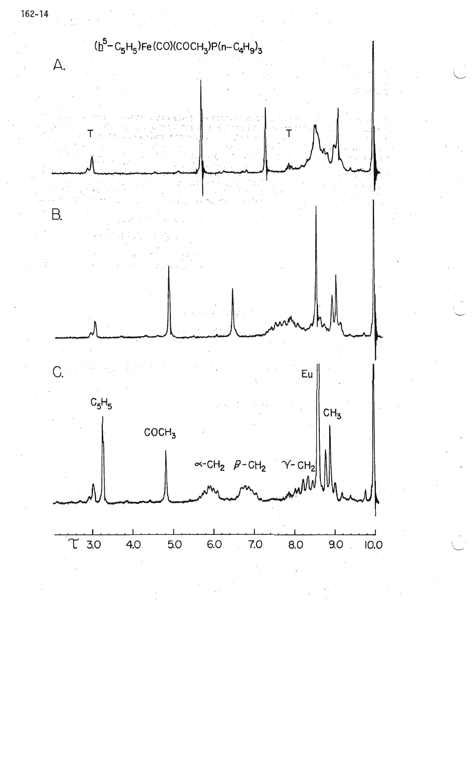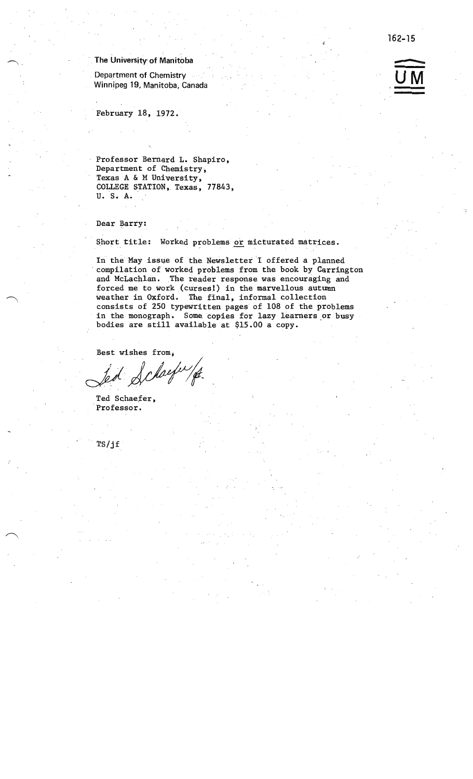162-15

### **The University of Manitoba**

Department of Chemistry Winnipeg 19, Manitoba, Canada

February 18, 1972.

Professor Bernard L. Shapiro, Department of Chemistry, Texas A & M University, COLLEGE STATION, Texas, 77843, U. S. A.

Dear Barry:

Short title: Worked problems or micturated matrices.

In the May issue of the Newsletter I offered a planned - compilation of worked problems from the book by Carrington and McLachlan. The reader response was encouraging and forced me to work (curses!) in the marvellous autumn weather in Oxford. The final, informal collection consists of 250 typewritten pages of 108 of the problems in the monograph. Some copies for lazy learners or busy bodies are still available at \$15.00 a copy.

Best wishes from,

ted Schaefer / p.

Ted Schaefer, ·Professor.

TS/jf

 $\bigcap$ 

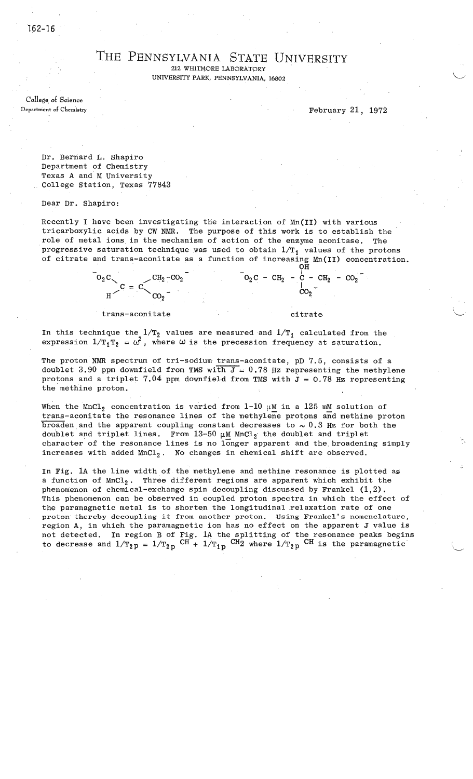162-16

# THE PENNSYLVANIA STATE UNIVERSITY

212 WHITMORE LABORATORY UNIVERSITY PARK, PENNSYLVANIA, 16802

College of Science Department of Chemistry

February 21, 1972

Dr. Berriard L, Shapiro Department of Chemistry Texas A and M University College Station, Texas 77843

Dear Dr. Shapiro:

Recently I have been investigating the interaction of  $Mn(II)$  with various tricarboxylic acids by *CW* NMR. The purpose of this work is to establish the role of metal ions in the mechanism of action of the enzyme aconitase. The progressive saturation technique was used to obtain  $1/T_1$  values of the protons of citrate and trans-aconitate as a function of increasing Mn(II) concentration.



trans-aconitate citrate citrate

In this technique the  $1/T_2$  values are measured and  $1/T_1$  calculated from the expression  $1/T_1T_2 = \omega^2$ , where  $\omega$  is the precession frequency at saturation.

The proton NMR spectrum of tri-sodium trans-aconitate, pD 7.5, consists of a doublet 3.90 ppm downfield from TMS with  $J = 0.78$  Hz representing the methylene protons and a triplet 7.04 ppm downfield from TMS with  $J = 0.78$  Hz representing the methine proton.

When the MnCl<sub>2</sub> concentration is varied from 1-10  $\mu$ M in a 125 mM solution of trans-aconitate the resonance lines of the methylene protons and methine proton broaden and the apparent coupling constant decreases to  $\sim 0.3$  Hz for both the doublet and triplet lines. From  $13-50$   $\mu$ M MnCl<sub>2</sub> the doublet and triplet character of the resonance lines is no longer apparent and the broadening simply increases with added  $MnCl<sub>2</sub>$ . No changes in chemical shift are observed.

In Fig. lA the line width of the methylene and methine resonance is plotted as a function of  $MnCl<sub>2</sub>$ . Three different regions are apparent which exhibit the phenomenon of chemical-exchange spin decoupling discussed by Frankel (1,2). This phenomenon can be observed in coupled proton spectra in which the effect of the paramagnetic metal is to shorten the longitudinal relaxation rate of one proton thereby decoupling it from another proton. Using Frankel's nomenclature, region A, in which the paramagnetic ion has no effect on the apparent J value is not detected. In region B of Fig. **lA** the splitting of the resonance peaks begins to decrease and  $1/T_{2,p} = 1/T_{2,p}$  CH +  $1/T_{1,p}$  CH2 where  $1/T_{2,p}$  CH is the paramagnetic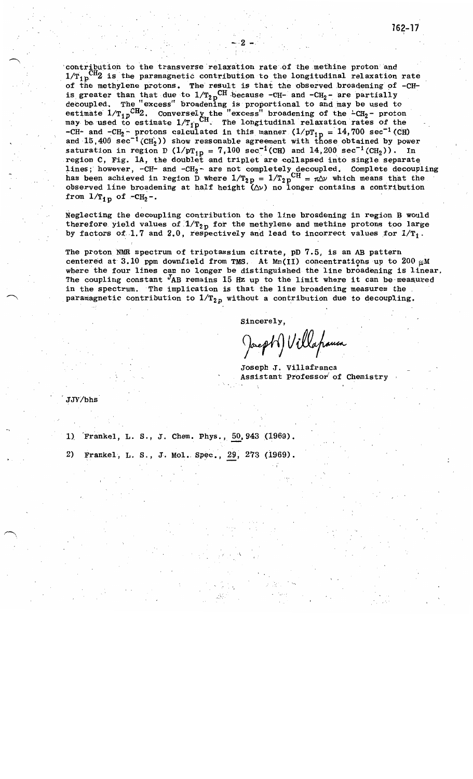contribution to the transverse relaxation rate of the methine proton and  $1/T_{10}$ CH<sub>2</sub> is the paramagnetic contribution to the longitudinal relaxation rate of the methylene protons. The result is that the observed broadening of -CHis greater than that due to  $1/T_{2p}$ CH because -CH- and -CH<sub>2</sub>- are partially decoupled. The "excess" broadening is proportional to and inay be used to estimate  $1/T_{1,p}$ CH<sub>2</sub>. Conversely the "excess" broadening of the  $-CH_2$ - proton may be used to estimate  $1/T_{f,p}$ <sup>CH</sup>. The longitudinal relaxation rates of the -CH- and -CH<sub>2</sub> - protons calculated in this manner ( $1/pT_{1p} = 14,700 \text{ sec}^{-1}$  (CH) and 15,400 sec<sup>-1</sup> (CH<sub>2</sub>)) show reasonable agreement with those obtained by power saturation in region D  $(1/pT_{1p} = 7,100 \text{ sec}^{-1}$  (CH) and  $14,200 \text{ sec}^{-1}$  (CH<sub>2</sub>)). In region C, Fig. 1A, the doublet and triplet are collapsed into single separate lines; however,  $-CH-$  and  $-CH_2-$  are not completely decoupled. Complete decoupling has been achieved in region D where  $1/T_{2,p} = 1/T_{2,p}^{C}$ CH =  $\pi\Delta\nu$  which means that the observed line broadening at half height  $(\triangle v)$  no longer contains a contribution from  $1/T_{1,p}$  of  $-CH_2-.$ 

Neglecting the decoupling contribution to the line broadening in region B would therefore yield values of  $1/T_{2p}$  for the methylene and methine protons too large by factors of 1.7 and 2.0, respectively and lead to incorrect values for  $1/T_1$ .

The proton *NMR* spectrum of tripotassium citrate, pD 7.5, is an AB pattern centered at 3.10 ppm downfield from TMS. At Mn(II) concentrations up to 200  $\mu$ M where the four lines can no longer be distinguished the line broadening is linear. The coupling constant  $JAB$  remains 15 Hz up to the limit where it can be measured in the spectrum. The implication is that the line broadening measures the paramagnetic contribution to  $1/T_{2,p}$  without a contribution due to decoupling.

Sincerely,

Joseph) Villapauca

Joseph J. Villafranca Assistant Professor of Chemistry

 $\rm JJV/bhs$ 

- Frankel, L. S., J. Chem. Phys.,  $50,943$  (1969).
- 2) Frankel, L. S., J. Mol. Spec., 29, 273 (1969).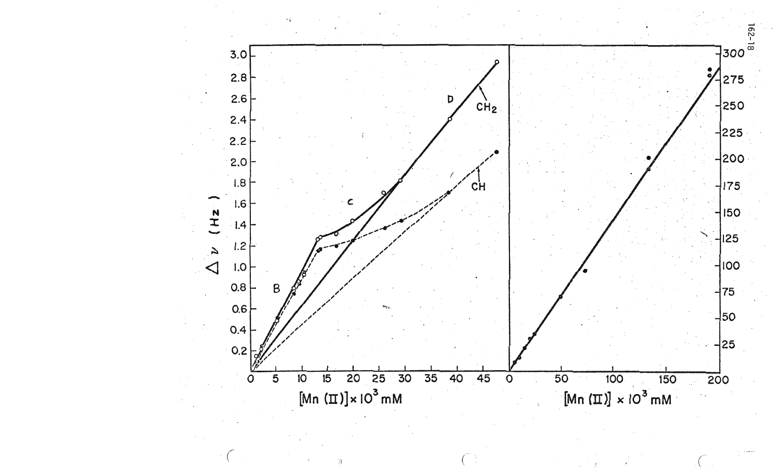

ŋ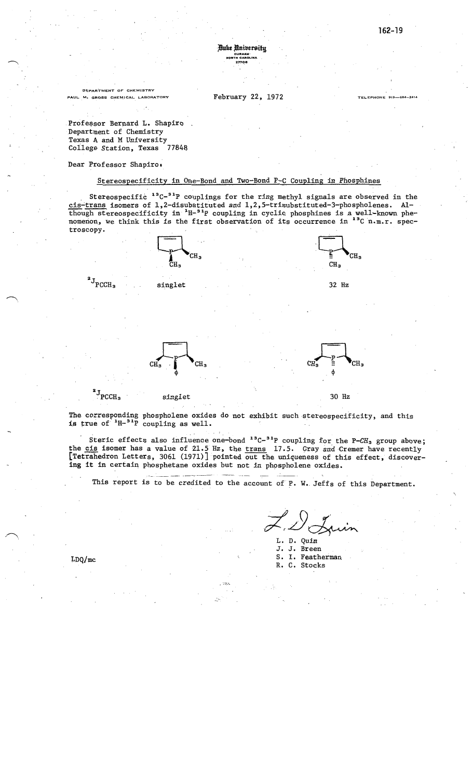*Duke University* .<br>DURHAM<br>TH CAROL

**DEPARTMENT OF CH E MI S TRY PAUL M. GROSS CHEMICAL LABORATORY** 

February 22, 1972 **TELEPHONE 919-684-2414** 

Professor Bernard L. Shapiro Department of Chemistry Texas A and M University College Station, Texas 77848

Dear Professor Shapiro,

#### Stereospecificity in One-Bond and Two-Bond P-C Coupling in Phosphines

Stereospecific  $13C-31P$  couplings for the ring methyl signals are observed in the cis-trans isomers of 1,2-disubstituted and 1,2,5-trisubstituted-3-phospholenes. Although stereospecificity in  ${}^{1}$ H- ${}^{3}$ <sup>P</sup> coupling in cyclic phosphines is a well-known phenomenon, we think this is the first observation of its occurrence in <sup>13</sup>C n.m.r. spectroscopy.



 $^2J$ <sub>PCCH<sub>3</sub></sub>





singlet 30 Hz



singlet 32 Hz



The corresponding phospholene oxides do not exhibit such stereospecificity, and this is true of  $H^{-3}$ <sup>1</sup>P coupling as well.

Steric effects also influence one-bond  $1^3C-3^1P$  coupling for the P-CH<sub>3</sub> group above; the cis isomer has a value of 21.5 Hz, the trans  $17.5$ . Gray and Cremer have recently [Tetrahedron Letters, 3061 (1971)] pointed out the uniqueness of this effect, discovering it in certain phosphetane oxides but not in phospholene oxides.

This report is to be credited to the account of P. W. Jeffs of this Department.

L. D. Quin J. J. Breen S. I. Featherman R. C. Stocks

 $LDQ/mc$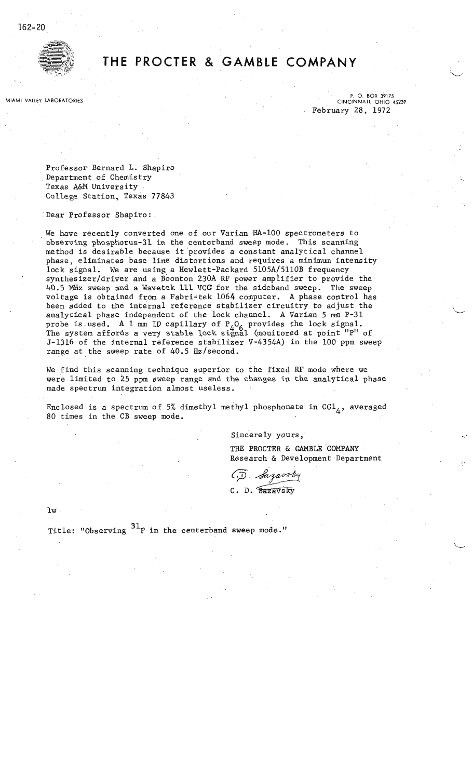162-20



# **THE PROCTER & GAMBLE COMPANY**

.. P. 0 . BOX 39175 . MIAMI VALLEY LABORATORIES CINCINNATI, OHIO 45239 February 28, 1972

Professor Bernard L. Shapiro Department of Chemistry Texas A&M University College Station, Texas 77843

Dear Professor Shapiro:

We have recently converted one of our Varian HA-100 spectrometers to observing phosphorus-31 in the centerband sweep mode. This scanning method is desirable because it provides a constant analytical channel phase, eliminates base line distortions and requires a minimum intensity lock signal. We are using a Hewlett-Packard 5105A/5110B frequency synthesizer/driver and a Boonton 230A RF power ampiifier to provide the 40.5 MHz sweep and a Wavetek 111 VCG for the sideband sweep. The sweep voltage is obtained from a Fabri~tek 1064 computer. A phase control has been added to the internal reference stabilizer circuitry to adjust the analytical phase independent of the lock channel. A Varian 5 mm P-31 probe is used. A 1 mm ID capillary of  $P_A O_6$  provides the lock signal. The system affords a very stable lock signal (monitored at point "P" of J-1316 of the internal reference stabilizer V-4354A) in the 100 ppm sweep range at the sweep rate of 40.5 Hz/second.

We find this scanning technique superior to the fixed RF mode where we were limited to 25 ppm sweep range and the changes in the analytical phase made spectrum integration almost useless.

Enclosed is a spectrum of 5% dimethyl methyl phosphonate in  $\texttt{CC1}_{\wedge}$ , averaged 80 times in the CB. sweep mode.

Sincerely yours,

THE PROCTER & GAMBLE COMPANY Research & Development Department

(i) Sazavstu

C. D. Sazavsky

lw

Title: "Observing  $31<sub>P</sub>$  in the centerband sweep mode."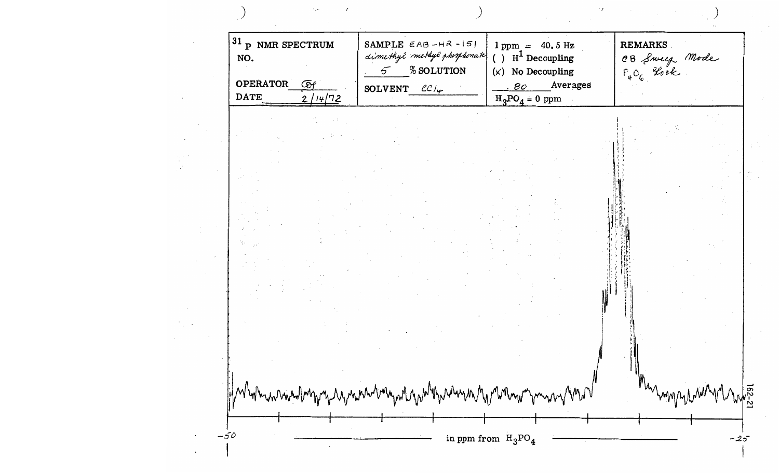$^{31}$   $_{\rm P}$  NMR SPECTRUM SAMPLE  $EAB-HR-151$  $1 ppm = 40.5 Hz$ **REMARKS** CB Sweep Mode dimethyl methyl phosphonate  $( )$  H<sup>1</sup> Decoupling NO. % SOLUTION  $(x)$  No Decoupling 5 **OPERATOR** ශි Averages . 80 SOLVENT  $\mathcal{LCI}_{\mu}$ **DATE**  $2/14/72$  $H_3PO_4 = 0$  ppm Mhortunaandompoyaanaandompolaandompaanaanaanaanom in ppm from  $\rm\,H_3PO_4$ -25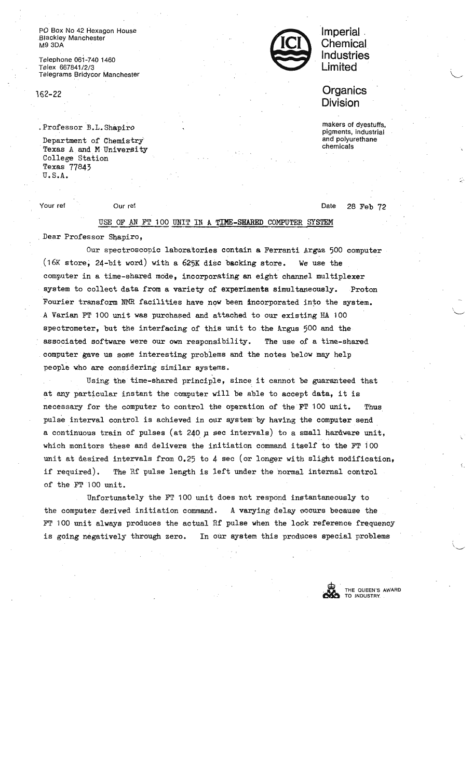PO Box No 42 Hexagon House .Blackley Manchester M93DA

Telephone 061-740 1460 Telex 667841/2/3 · Telegrams Bridycor Manchester

162-22

;Professor B.L.Shapiro

Department of **Chemistry**  Texas A and M University College Station Texas 77843 U.S.A.

Your ref Our ref

**Organics Division** 

**·Imperial Chemical\_ Industries Limited** 

makers of dyestuffs, pigments, industrial and polyurethane chemicals

Date 28 Feb 72

### USE OF AN FT 1 00 UNIT IN A **TIME-SHARED** COMPUTER SYSTEM

Dear Professor Shapiro,

Our spectroscopic laboratories contain **a** Ferranti Argus 500 computer (16K store; 24-bit word) with a 625K disc backing store. We use the computer in a time-shared mode, incorporating an eight channel multiplexer system to collect data from a variety of experiments simultaneously. Proton Fourier transform NMR facilities have now been incorporated into the system. A Varian FT 100 unit was purchased and attached to our existing HA 100 spectrometer, but the interfacing of this unit to the Argus 500 and the associated software were our own responsibility. The use of a time-shared computer gave us some interesting problems and the notes below may help people who are considering similar systems.

Using. the time-shared principle, since it cannot be guaranteed that at any particular instant the computer will be able to accept data, it is necessary for the computer to control the operation of the FT 100 unit. Thus pulse interval control is achieved in our system by having the computer send a continuous train of pulses (at 240  $\mu$  sec intervals) to a small hardware unit, which monitors these and delivers the initiation command itself to the FT 100 unit at desired intervals from 0.25 to 4 sec (or longer with slight modification, if required). The Rf pulse length is left under the normal internal control of the FT 100 unit.

Unfortunately the FT 100 unit does not respond instantaneously to the computer derived initiation command. A varying delay occurs because the FT 100 unit always produces the actual Rf pulse when the lock reference frequency is going negatively through zero. In our system this produces special problems

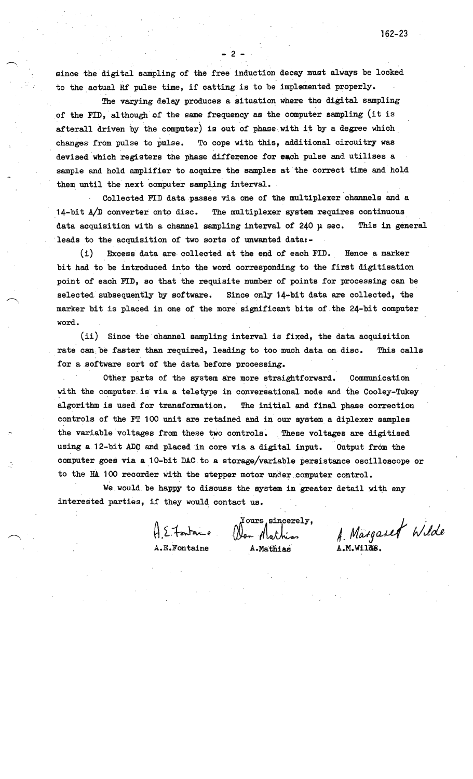since the digital sampling of the free induction decay must always be locked to the actual Rf pulse time, if catting is to be implemented properly.

 $- 2 -$ 

The varying delay produces a situation where the digital sampling of the FID, al though of the same frequency as the computer sampling (it is afterall driven by the computer) is out of phase with it by a degree which . changes from pulse to pulse. To cope with this, additional circuitry was devised which registers the phase difference for each pulse and utilises a . sample and hold amplifier to acquire the samples at the correct time and hold them until the next computer sampling interval.

Collected FID data passes via one of the multiplexer channels and a  $14$ -bit  $A/D$  converter onto disc. The multiplexer system requires continuous data acquisition with a channel sampling interval of 240  $\mu$  sec. This in general leads to the acquisition of two sorts of unwanted data:-

 $(i)$  Excess data are collected at the end of each FID. Hence a marker bit had to be introduced into the word corresponding to the first digitisation point of each FID, so that the requisite number of points for processing can be selected subsequently by software. Since only 14-bit data are collected, the marker bit is placed in one of the more significant bits of .the 24-bit computer word.

(ii) Since the channel sampling interval is fixed, the data acquisition rate can be faster than required, leading to too much data on disc. This calls for a software sort of the data before processing.

Other parts of the system are more straightforward. Communication with the computer is via a teletype in conversational mode and the Cooley-Tukey algorithm is used for transformation. The initial and final phase correction controls of the FT 100 unit are retained and in our system a diplexer samples the variable voltages from these two controls. These voltages are digitised using a 12-bit ADC and placed in core via a digital input. Output from the computer goes via a 10-bit DAC to a storage/variable persistance oscilloscope or to the HA. 100 recorder with the stepper motor under computer control.

We would be happy to discuss the system in greater detail with any interested parties, if they would contact us. otur~ly, A. MbA-jd *t,,jj~* 

*..1* 

A.E.Fontaine **A.Mathias A.M.Wilde •** .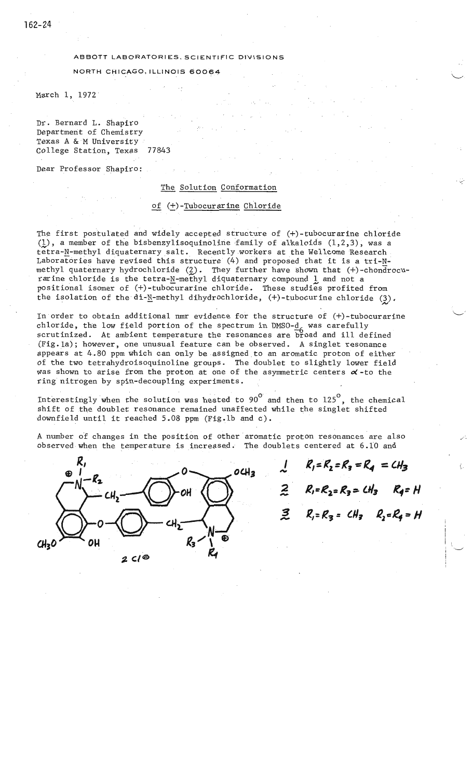#### ABBOTT LABORATORIES , SCIENTIFIC DIVISIONS

NORTH CHICAGO, ILLINOIS 60064

March 1, 1972

Dr. Bernard L. Shapiro Department of Chemistry Texas A & M University College Station, Texas 77843

Dear Professor Shapiro:

#### The Solution Conformation

### of  $(+)$ -Tubocurarine Chloride

The first postulated and widely accepted structure of  $(+)$ -tubocurarine chloride (1), a member of the bisbenzylisoquinoline family of alkaloids  $(1,2,3)$ , was a tetra-N-methyl diquaternary salt. Recently workers at the Wellcome Research Laboratories have revised this structure (4) and proposed that it is a tri-Nmethyl quaternary hydrochloride (2). They further have shown that (+)-chondrocurarine chloride is the tetra-N-methyl diquaternary compound 1 and not a positional isomer of (+)-tubocurarine chloride. These studies profited from the isolation of the di-N-methyl dihydrochloride,  $(+)$ -tubocurine chloride  $(3)$ .

In order to obtain additional nmr evidence for the structure of (+)-tubocurarine chloride, the low field portion of the spectrum in DMS0- $d_{\zeta}$  was carefully scrutinized. At ambient temperature the resonances are broad and ill defined (Fig.la); however, one unusual feature can be observed. A singlet resonance appears at  $4.80$  ppm which can only be assigned to an aromatic proton of either of the two tetrahydroisoquinoline groups. The doublet to slightly lower field was shown to arise from the proton at one of the asymmetric centers  $\alpha$ -to the ring nitrogen by spin-decoupling experiments.

Interestingly when the solution was heated to 90 $^{\circ}$  and then to 125 $^{\circ}$ , the chemical shift of the doublet resonance remained unaffected while the singlet shifted downfield until it reached 5.08 ppm (Fig.lb and c).

A number of changes in the position of other aromatic proton resonances are also observed when the temperature is increased. The doublets centered at  $6.10$  and



 $\frac{1}{2}$  $R_1 = R_2 = R_3 = R_4 = CH_3$ I  $\frac{2}{\pi}$  $\frac{3}{2}$ 3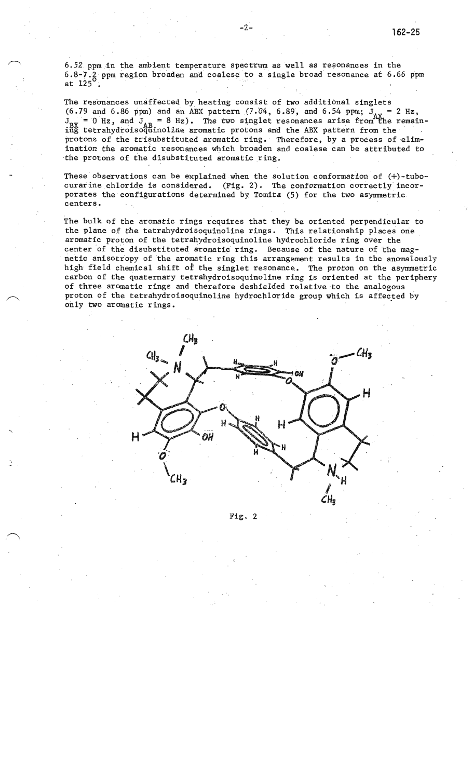$6.52$  ppm in the ambient temperature spectrum as well as resonances in the 6.8-7.2 ppm region broaden and coalese to a single broad resonance at 6.66 ppm at  $125^\circ$ .

The resonances unaffected by heating consist of two additional singlets (6.79 and 6.86 ppm) and an ABX pattern (7.04, 6.89, and 6.54 ppm;  $J_{AX} = 2$  Hz,  $J_{\text{py}}$  = 0 Hz, and  $J_{\text{AP}}$  = 8 Hz). The two singlet resonances arise from the remain- $\frac{10}{100}$  tetrahydroisoquinoline aromatic protons and the ABX pattern from the protons of the trisubstituted aromatic ring. Therefore, by a process of elimination the aromatic resonances which broaden and coalese can be attributed to the protons of the disubstituted aromatic ring.

These observations can be explained when the solution conformation of (+)-tubocurarine chloride is considered. (Fig. 2). The conformation correctly incorporates the configurations determined by Tomita (5) for the two asymmetric. centers.

The bulk of the aromatic rings requires that they be oriented perpendicular to the plane of the tetrahydroisoquinoline rings. This relationship places one aromatic proton of the tetrahydroisoquinoline hydrochloride ring over the center of the disubstituted aromatic ring. Because of the nature of the mag-. netic anisotropy of the aromatic ring this arrangement results in the anomalously high field chemical shift of the singlet resonance. The proton on the asymmetric carbon of the quaternary tetrahydroisoquinoline ring is oriented at the periphery of three aromatic rings and therefore deshielded relative to the analogous proton of the tetrahydroisoquinoline hydrochloride group which is affected by only two aromatic rings.



.....

2

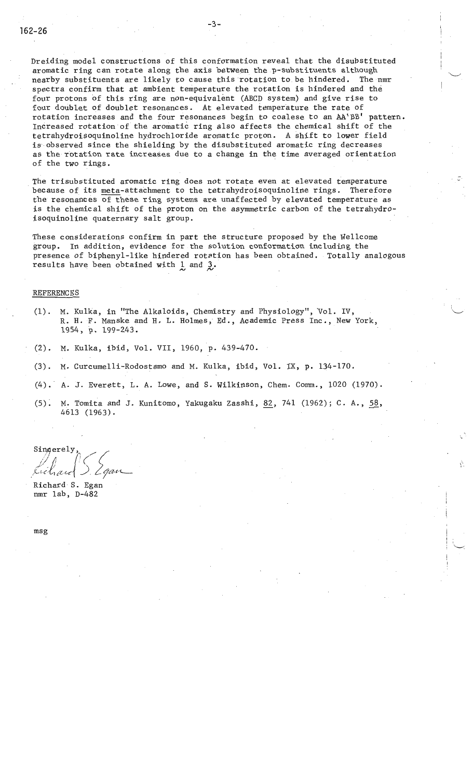Dreiding model constructions of this conformation reveal that the disubstituted aromatic ring can rotate along the axis between the p-substituents although nearby substituents are likely to cause this rotation to be hindered. The nmr spectra confirm that at ambient temperature the rotation is hindered and the four protons of this ring are non-equivalent (ABCD system) and give rise to four doublet of doublet resonances. At elevated temperature the rate of rotation increases and the four resonances begin to coalese to an AA'BB' pattern. Increased rotation of the aromatic ring also affects the chemical shift of the tetrahydroisoquinoline hydrochloride aromatic proton. A shift to lower field is observed since the shielding by the disubstituted aromatic ring decreases as the rotation rate increases due to a change in the time averaged orientation of the two rings.

The trisubstituted aromatic ring does not rotate even at elevated temperature because of its meta-attachment to the tetrahydroisoquinoline rings. Therefore the resonances of these ring systems are unaffected by elevated temperature as is the chemical shift of the proton on the asymmetric carbon of the tetrahydroisoquinoline quaternary salt group.

;,.., ;

i  $\leq$ 

These considerations confirm in part the structure proposed by the Wellcome group. In addition, evidence for the solution conformation including the presence of biphenyl-like hindered rotation has been obtained. Totally analogous results have been obtained with  $1$  and  $3$ .

#### REFERENCES

(1). M. Kulka, in "The Alkaloids, Chemistry and Physiology", Vol. IV, R.H. F. Manske and H. L. Holmes, Ed., Academic Press Inc., New York, 1954, p. 199-243.

(2). M. Kulka, ibid, Vol. VII, 1960, p. 439-470.

- (3). M. Curcumelli-Rodostamo and M. Kulka, ibid, Vol. IX, p. 134-170.
- (4). A. J. Everett, L. A. Lowe, and S. Wilkinson, Chem. Comm., 1020 (1970).
- (5): M. Tomita and J. Kunitomo, Yakugaku Zasshi, 82, 741 (1962); C. A., 58, 4613 (1963).

Singerely *\_,l,.el:* cZ{,,c · \_) 2 *fkt-t•-t.\_\_* 

Richard S. Egan nmr lab, D-482

msg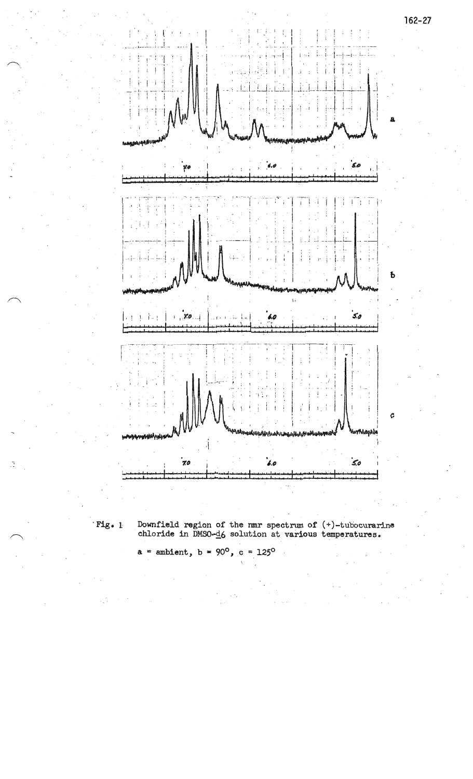

Downfield region of the nmr spectrum of  $(+)$ -tubocurarine<br>chloride in DMSO- $\underline{d}6$  solution at various temperatures. Fig. 1

 $a =$  ambient,  $b = 90^{\circ}$ ,  $c = 125^{\circ}$ 

Ĵ.

 $162 - 27$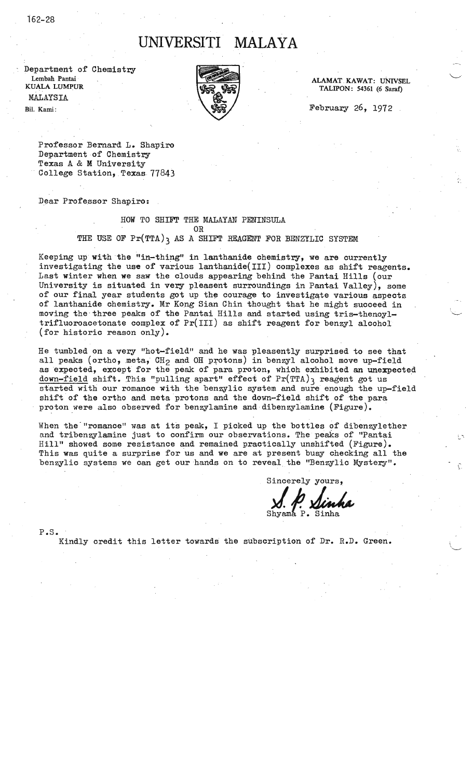162-28

# UNIVERSITI MALAYA

Department of Chemistry Lembah Pantai · KUALA LUMPUR MALAYSIA

Bil. Kami:



**ALAMAT KAWAT: UNIVSEL TALIPON:** 54361 (6 Saraf)

 $\sim$ 

February 26, 1972

Professor Bernard L. Shapiro Department of Chemistry Texas A & **M** University College Station, Texas 77843

Dear Professor Shapiro:

# HOW TO SHIFT THE MALAYAN PENINSULA OR THE USE OF  $Pr(TTA)$ <sub>3</sub> AS A SHIFT REAGENT FOR BENZYLIC SYSTEM

Keeping up with the "in-thing" in lanthanide chemistry, we are currently investigating the use of various lanthanide(III) complexes as shift reagents. Last winter when **we** saw the clouds appearing behind the Pantai Hills (our University is situated in very pleasent surroundings in Pantai Vailey), some of our final year students got up the courage to investigate various aspects of lanthanide chemistry. Mr Kong Sian Chin thought that he might succeed in moving the three peaks of the Pantai Hills and started using tris-thenoyltrifluoroacetonate complex of Pr(III) as shift reagent for benzyl alcohol (for historic reason only).

He tumbled on a very "hot-field" and he was pleasently surprised to see that all peaks (ortho, meta,  $CH<sub>2</sub>$  and OH protons) in benzyl alcohol move up-field as expected, except for the peak of para proton, which exhibited an unexpected down-field shift. This "pulling apart" effect of  $Pr(TPA)$ <sub>3</sub> reagent got us started with our romance with the benzylic system and sure enough the up-field shift of the ortho and meta protons and the down-field shift of' the para proton were also observed for benzylamine and dibenzylamine (Figure). ·

When the "romance" was at its peak, I picked up the bottles of dibenzylether and tribenzylamine just to confirm our observations. The peaks of "Pantai Hill" showed some resistance and remained practically unshifted (Figure). This was quite a surprise for us and we are at present busy checking all the benzylic systems we can get our hands on to reveal the "Benzylic Mystery".

Sincerely yours,

 $\mathcal{A}$ .  $\phi$   $\mathcal{A}$   $\mathcal{A}$   $\mathcal{A}$   $\mathcal{A}$   $\mathcal{A}$   $\mathcal{A}$   $\mathcal{A}$   $\mathcal{A}$   $\mathcal{A}$   $\mathcal{A}$   $\mathcal{A}$   $\mathcal{A}$   $\mathcal{A}$   $\mathcal{A}$   $\mathcal{A}$   $\mathcal{A}$   $\mathcal{A}$   $\mathcal{A}$   $\mathcal{A}$   $\mathcal{A}$   $\mathcal{A}$   $\mathcal{A}$   $\mathcal{A}$ 

 $P.S.$ 

Kindly credit this letter towards the subscription of Dr. R.D. Green.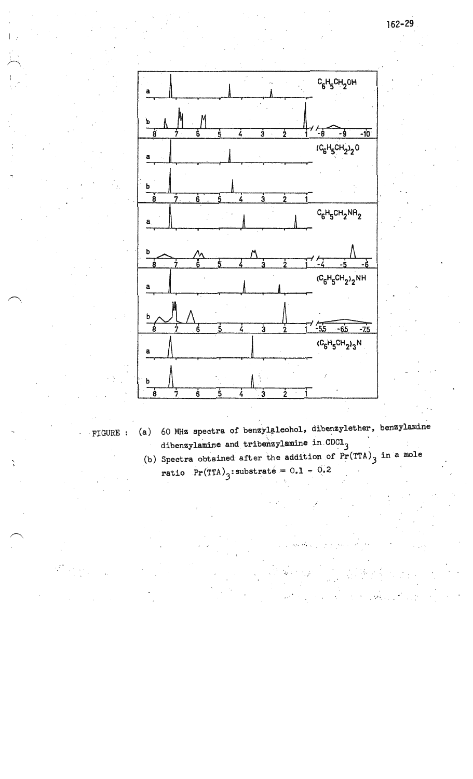

 $FIGURE:$ 

- (a) 60 MHz spectra of benzylalcohol, dibenzylether, benzylamine dibenzylamine and tribenzylamine in CDCl<sub>3</sub>
	- (b) Spectra obtained after the addition of  $Pr(TTA)$  in a mole ratio  $Pr(TTA)$ <sub>3</sub>: substrate = 0.1 - 0.2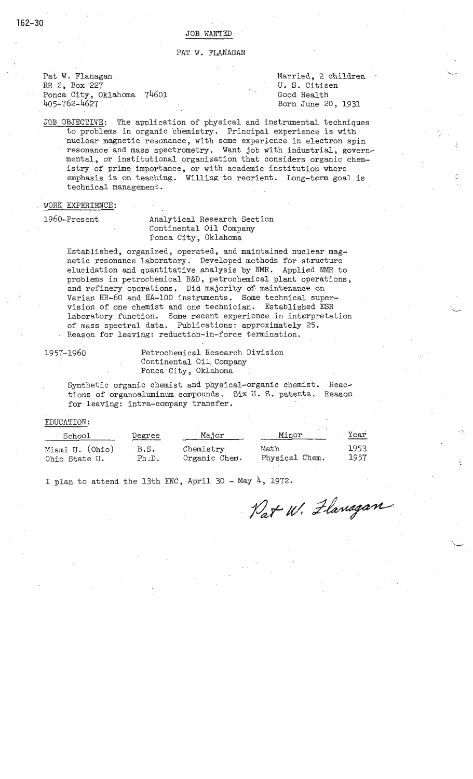#### JOB WANTED

#### PAT. W. FLANAGAN

Pat W. Flanagan RR 2, Box 227 Ponca City, Oklahoma 74601<br>405-762-4627 Married, 2 children U. S. Citizen<br>Good Health Born June 20, 1931

*JOB* OBJECTIVE: The application of physical and instrumental techniques to problems in organic chemistry, Principal experience is with ·nuclear magnetic resonance, with some experience in electron spin resonance and mass spectrometry. Want job with industrial, governmental, or institutional organization that considers organic chemistry of prime importance, or with academic institution where emphasis is on teaching. Willing to reorient. Long-term goal is technical management.

#### WORK EXPERIENCE:

### 1960-Present Analytical Research Section Continental Oil Company Ponca City, Oklahoma

Established, organized, operated, and maintained nuclear magnetic resonance laboratory. Developed methods for structure elucidation and quantitative analysis by NMR. Applied NMR to problems in petrochemical R&D, petrochemical plant operations, and refinery operations, Did majority of maintenance on Varian HR-60 and HA-100 instruments. Some technical supervision of one chemist and one technician. Established ESR laboratory function. Some recent experience in interpretation of mass spectral data. Publications: approximately 25. Reason for leaving: reduction~in-force termination.

1957-1960 Petrochemical Research Division Continental Oil. Company Ponca City, Oklahoma

Synthetic organic chemist and physical-organic chemist. Reactions of organoaluminum compounds. Six U.S. patents. Reason for leaving: intra-company transfer.

#### EDUCATION:

| School          | Degree | Major         | Minor          | Year |  |
|-----------------|--------|---------------|----------------|------|--|
| Miami U. (Ohio) | B.S.   | Chemistry     | Math           | 1953 |  |
| Ohio State U.   | Ph.D.  | Organic Chem. | Physical Chem. | 1957 |  |

I plan to attend the 13th ENC, April 30 - May 4, 1972.

Pat W. Flanagan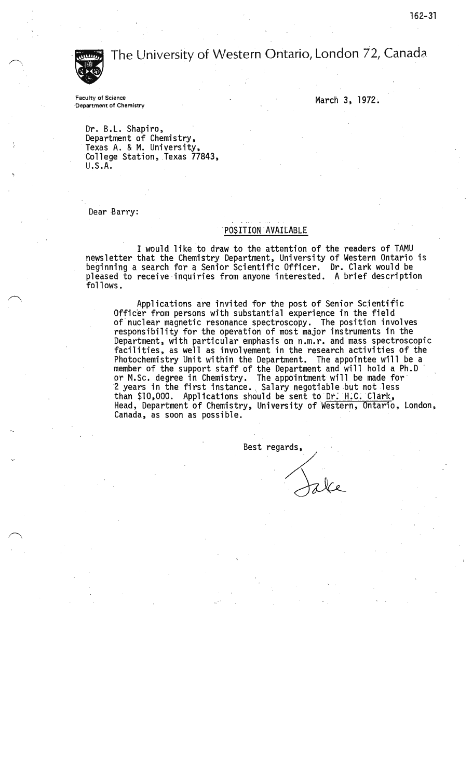*)* 

The University of Western Ontario, London 72, Canada

Faculty of Science ·Department of Chemistry

March 3, 1972.

Dr. B.L. Shapiro,<br>Department of Chemistry,<br>Texas A. & M. University,<br>College Station, Texas 77843, U.S.A.

Dear Barry:

### POSITION AVAILABLE

I would like to draw to the attention of the readers of TAMU newsletter that the Chemistry Department, University of Western Ontario is beginning a search for a Senior Scientific Officer. Dr. Clark would be pleased to receive inquiries from anyone interested. A brief description follows.

Applications are invited for the post of Senior Scientific Officer from persons with substantial experience in the field of nuclear magnetic resonance spectroscopy. The position involves responsibility for the operation of most major instruments in the Department, with particular emphasis on n.m.r. and mass spectroscopic<br>facilities, as well as involvement in the research activities of the Photochemistry Unit within the Department. The appointee will be a member of the support staff of the Department and will hold a Ph.D or M.Sc. degree in Chemistry. The appointment will be made for<br>2 years in the first instance. Salary negotiable but not less than \$10,000. Applications should be sent to Dr. H.C. Clark, Head, Department of Chemistry, University of Western, Ontario, London, Canada, as soon as possible.

Best regards,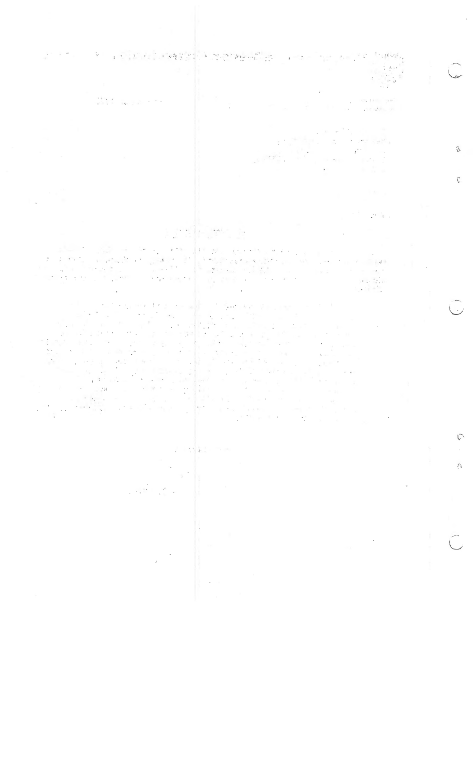$\mathcal{R}^{\mathcal{A}} = \mathcal{L}^{\mathcal{A}} \left( \mathcal{A}^{\mathcal{A}} \right) \mathcal{L}^{\mathcal{A}} \left( \mathcal{A}^{\mathcal{A}} \right) \mathcal{L}^{\mathcal{A}} \left( \mathcal{A}^{\mathcal{A}} \right) \mathcal{L}^{\mathcal{A}} \left( \mathcal{A}^{\mathcal{A}} \right) \mathcal{L}^{\mathcal{A}} \left( \mathcal{A}^{\mathcal{A}} \right) \mathcal{L}^{\mathcal{A}} \left( \mathcal{A}^{\mathcal{A}} \right) \mathcal{L}^{\mathcal{A}} \$ 

 $\frac{1}{100}$  ,  $\frac{2}{100}$  ,  $\frac{1}{100}$  ,  $\frac{1}{100}$  ,  $\frac{1}{100}$  $\label{eq:1.1} \frac{1}{\lambda_{1}}\left(\begin{array}{cc} 1 & 0 & 0 \\ 0 & 1 \end{array}\right) = \frac{1}{\lambda_{1}}\left(\begin{array}{cc} 1 & 0 & 0 \\ 0 & 1 \end{array}\right) = \frac{1}{\lambda_{1}}\left(\begin{array}{cc} 1 & 0 & 0 \\ 0 & 1 \end{array}\right)$ 一本語書の子

> $\label{eq:1.1} \mathcal{L}=\mathcal{L}^{\text{max}}\left(\mathcal{L}^{\text{max}}\right) \quad \text{and} \quad \mathcal{L}^{\text{max}}\left(\mathcal{L}^{\text{max}}\right)$ a communicación en exemplo.  $\label{eq:2.1} \begin{array}{c} \mathbf{1} \\ \mathbf{2} \\ \mathbf{3} \\ \mathbf{4} \end{array} \qquad \qquad \begin{array}{c} \mathbf{3} \\ \mathbf{4} \\ \mathbf{5} \\ \mathbf{6} \end{array} \qquad \qquad \begin{array}{c} \mathbf{3} \\ \mathbf{4} \\ \mathbf{5} \\ \mathbf{6} \end{array} \qquad \qquad \begin{array}{c} \mathbf{3} \\ \mathbf{4} \\ \mathbf{5} \\ \mathbf{6} \end{array} \qquad \qquad \begin{array}{c} \mathbf{3} \\ \mathbf{5} \\ \mathbf{6} \\ \mathbf$  $\mathbf{r}$  is a set of  $\mathbf{r}$

 $\sim$   $\sim$ 

Ŵ,

疥

 $\sim 10^{-11}$ 

 $\mathcal{F}^{\pm}$  , which is

**Contract Contract** 

 $\mathcal{N}_{\mathcal{A}}$  ,  $\mathcal{N}_{\mathcal{A}}$  ,  $\mathcal{N}_{\mathcal{A}}$ 

 $\label{eq:2.1} \mathcal{L}=\mathcal{L}^{\text{max}}\left(\frac{1}{\mathcal{L}^{\text{max}}_{\text{max}}}\right)=\mathcal{L}^{\text{max}}_{\text{max}}$ 

 $\sim$ 

 $\label{eq:2.1} \mathcal{L}^{\mathcal{A}}(\mathbb{R}^d) = \mathcal{L}^{\mathcal{B}}(\mathbb{R}^d) \quad \text{and} \quad \mathcal{L}^{\mathcal{B}}(\mathbb{R}^d) = \mathcal{L}^{\mathcal{B}}(\mathbb{R}^d)$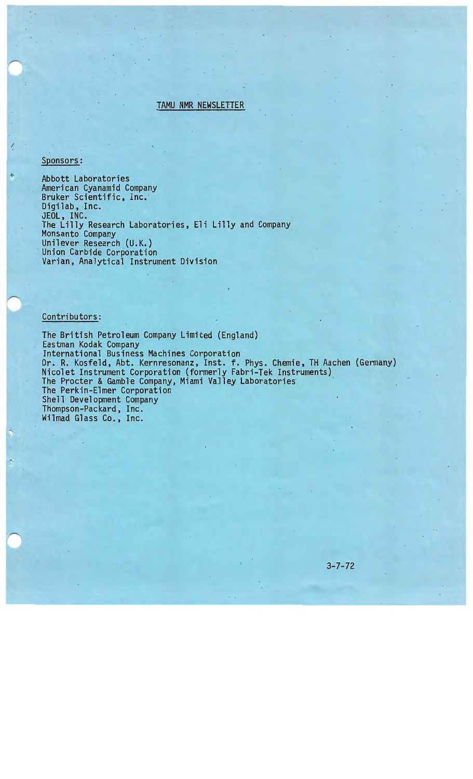# TAMU NMR NEWSLETTER

### Sponsors:

 $\ell$ 

Abbott Laboratories<br>American Cyanamid Company<br>Bruker Scientific, Inc.<br>Digilab, Inc.<br>JEOL, INC. The Lilly Research Laboratories, Eli Lilly and Company<br>Monsanto Company<br>Unilever Research (U.K.)<br>Union Carbide Corporation<br>Varian, Analytical Instrument Division

## Contributors:

The British Petroleum Company Limited (England) International Business Machines Corporation<br>Dr. R. Kosfeld, Abt. Kernresonanz, Inst. f. Phys. Chemie, TH Aachen (Germany)<br>Nicolet Instrument Corporation (formerly Fabri-Tek Instruments)<br>The Procter & Gamble Company, Miami Wilmad Glass Co., Inc.

3-7-72